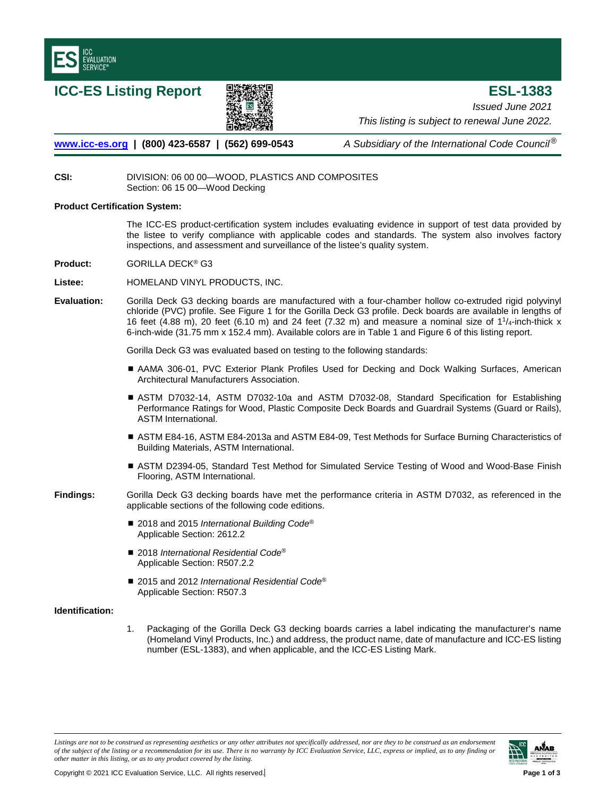

**ICC-ES Listing Report ESL-1383**



*Issued June 2021 This listing is subject to renewal June 2022.* 

**[www.icc-es.org](http://www.icc-es.org/) | (800) 423-6587 | (562) 699-0543** *A Subsidiary of the International Code Council*®

# **CSI:** DIVISION: 06 00 00—WOOD, PLASTICS AND COMPOSITES Section: 06 15 00—Wood Decking

## **Product Certification System:**

The ICC-ES product-certification system includes evaluating evidence in support of test data provided by the listee to verify compliance with applicable codes and standards. The system also involves factory inspections, and assessment and surveillance of the listee's quality system.

**Product:** GORILLA DECK® G3

**Listee:** HOMELAND VINYL PRODUCTS, INC.

**Evaluation:** Gorilla Deck G3 decking boards are manufactured with a four-chamber hollow co-extruded rigid polyvinyl chloride (PVC) profile. See Figure 1 for the Gorilla Deck G3 profile. Deck boards are available in lengths of 16 feet (4.88 m), 20 feet (6.10 m) and 24 feet (7.32 m) and measure a nominal size of  $11/4$ -inch-thick x 6-inch-wide (31.75 mm x 152.4 mm). Available colors are in Table 1 and Figure 6 of this listing report.

Gorilla Deck G3 was evaluated based on testing to the following standards:

- AAMA 306-01, PVC Exterior Plank Profiles Used for Decking and Dock Walking Surfaces, American Architectural Manufacturers Association.
- ASTM D7032-14, ASTM D7032-10a and ASTM D7032-08, Standard Specification for Establishing Performance Ratings for Wood, Plastic Composite Deck Boards and Guardrail Systems (Guard or Rails), ASTM International.
- ASTM E84-16, ASTM E84-2013a and ASTM E84-09, Test Methods for Surface Burning Characteristics of Building Materials, ASTM International.
- ASTM D2394-05, Standard Test Method for Simulated Service Testing of Wood and Wood-Base Finish Flooring, ASTM International.

**Findings:** Gorilla Deck G3 decking boards have met the performance criteria in ASTM D7032, as referenced in the applicable sections of the following code editions.

- 2018 and 2015 *International Building Code<sup>®</sup>* Applicable Section: 2612.2
- 2018 *International Residential Code<sup>®</sup>* Applicable Section: R507.2.2
- 2015 and 2012 *International Residential Code<sup>®</sup>* Applicable Section: R507.3

# **Identification:**

1. Packaging of the Gorilla Deck G3 decking boards carries a label indicating the manufacturer's name (Homeland Vinyl Products, Inc.) and address, the product name, date of manufacture and ICC-ES listing number (ESL-1383), and when applicable, and the ICC-ES Listing Mark.

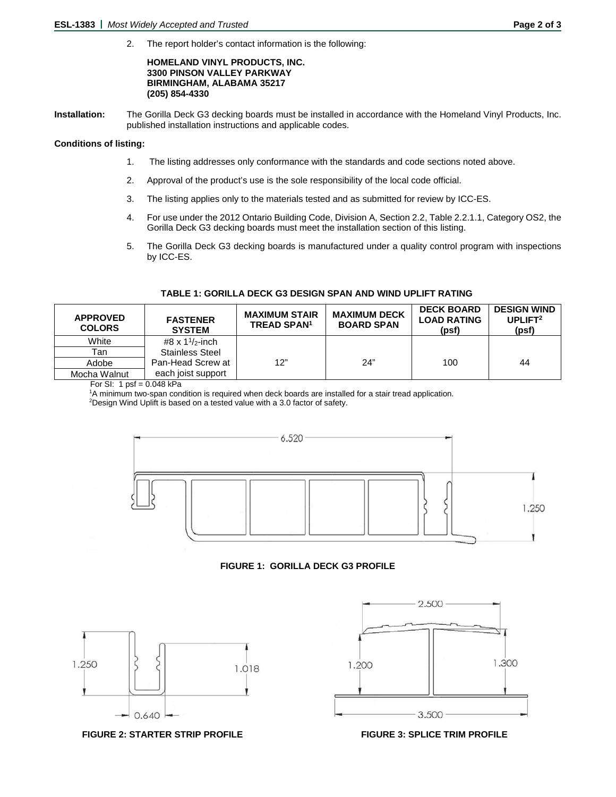2. The report holder's contact information is the following:

#### **HOMELAND VINYL PRODUCTS, INC. 3300 PINSON VALLEY PARKWAY BIRMINGHAM, ALABAMA 35217 (205) 854-4330**

**Installation:** The Gorilla Deck G3 decking boards must be installed in accordance with the Homeland Vinyl Products, Inc. published installation instructions and applicable codes.

#### **Conditions of listing:**

- 1. The listing addresses only conformance with the standards and code sections noted above.
- 2. Approval of the product's use is the sole responsibility of the local code official.
- 3. The listing applies only to the materials tested and as submitted for review by ICC-ES.
- 4. For use under the 2012 Ontario Building Code, Division A, Section 2.2, Table 2.2.1.1, Category OS2, the Gorilla Deck G3 decking boards must meet the installation section of this listing.
- 5. The Gorilla Deck G3 decking boards is manufactured under a quality control program with inspections by ICC-ES.

| <b>APPROVED</b><br><b>COLORS</b> | <b>FASTENER</b><br><b>SYSTEM</b> | <b>MAXIMUM STAIR</b><br><b>TREAD SPAN<sup>1</sup></b> | <b>MAXIMUM DECK</b><br><b>BOARD SPAN</b> | <b>DECK BOARD</b><br><b>LOAD RATING</b><br>(psf) | <b>DESIGN WIND</b><br>UPLIFT <sup>2</sup><br>(psf) |
|----------------------------------|----------------------------------|-------------------------------------------------------|------------------------------------------|--------------------------------------------------|----------------------------------------------------|
| White                            | #8 x $1\frac{1}{2}$ -inch        |                                                       |                                          |                                                  |                                                    |
| Tan                              | <b>Stainless Steel</b>           |                                                       |                                          |                                                  |                                                    |
| Adobe                            | Pan-Head Screw at                | 12"                                                   | 24"                                      | 100                                              | 44                                                 |
| Mocha Walnut                     | each joist support               |                                                       |                                          |                                                  |                                                    |

## **TABLE 1: GORILLA DECK G3 DESIGN SPAN AND WIND UPLIFT RATING**

For SI: 1 psf =  $0.048$  kPa

<sup>1</sup>A minimum two-span condition is required when deck boards are installed for a stair tread application.

Design Wind Uplift is based on a tested value with a 3.0 factor of safety.



# **FIGURE 1: GORILLA DECK G3 PROFILE**



2.500 1.300 1.200 3.500

**FIGURE 2: STARTER STRIP PROFILE FIGURE 3: SPLICE TRIM PROFILE**